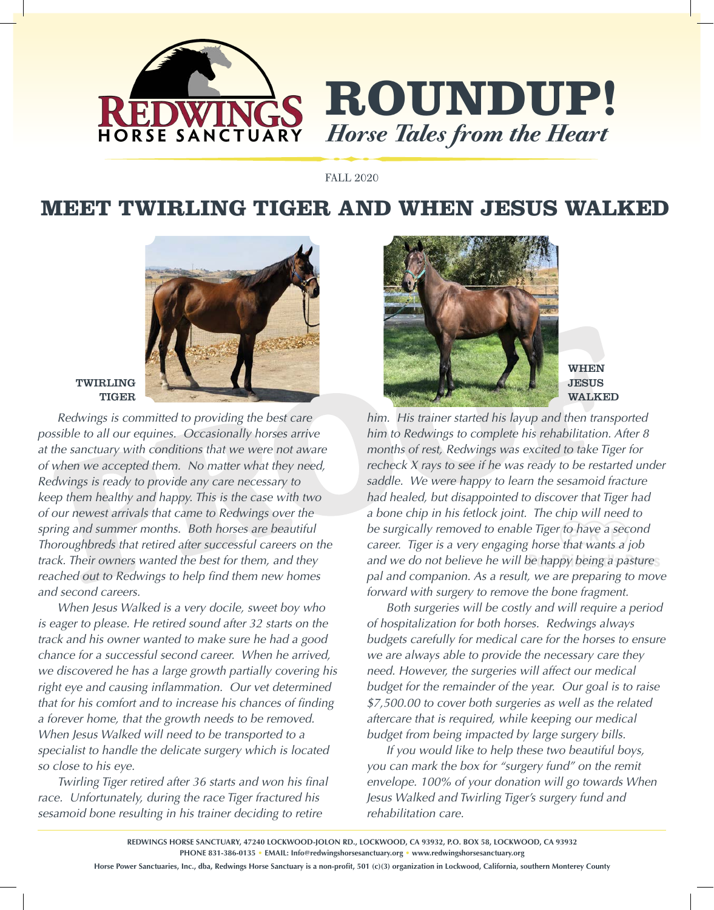

FALL 2020

## **MEET TWIRLING TIGER AND WHEN JESUS WALKED**



## TWIRLING TIGER

*Redwings is committed to providing the best care possible to all our equines. Occasionally horses arrive at the sanctuary with conditions that we were not aware of when we accepted them. No matter what they need, Redwings is ready to provide any care necessary to keep them healthy and happy. This is the case with two of our newest arrivals that came to Redwings over the spring and summer months. Both horses are beautiful Thoroughbreds that retired after successful careers on the track. Their owners wanted the best for them, and they reached out to Redwings to help find them new homes and second careers.* 

*When Jesus Walked is a very docile, sweet boy who is eager to please. He retired sound after 32 starts on the track and his owner wanted to make sure he had a good chance for a successful second career. When he arrived, we discovered he has a large growth partially covering his right eye and causing inflammation. Our vet determined that for his comfort and to increase his chances of finding a forever home, that the growth needs to be removed. When Jesus Walked will need to be transported to a specialist to handle the delicate surgery which is located so close to his eye.* 

*Twirling Tiger retired after 36 starts and won his final race. Unfortunately, during the race Tiger fractured his sesamoid bone resulting in his trainer deciding to retire* 



**WHEN JESUS** WALKED

*him. His trainer started his layup and then transported him to Redwings to complete his rehabilitation. After 8 months of rest, Redwings was excited to take Tiger for recheck X rays to see if he was ready to be restarted under saddle. We were happy to learn the sesamoid fracture had healed, but disappointed to discover that Tiger had a bone chip in his fetlock joint. The chip will need to be surgically removed to enable Tiger to have a second career. Tiger is a very engaging horse that wants a job and we do not believe he will be happy being a pasture pal and companion. As a result, we are preparing to move forward with surgery to remove the bone fragment.* 

*Both surgeries will be costly and will require a period of hospitalization for both horses. Redwings always budgets carefully for medical care for the horses to ensure we are always able to provide the necessary care they need. However, the surgeries will affect our medical budget for the remainder of the year. Our goal is to raise \$7,500.00 to cover both surgeries as well as the related aftercare that is required, while keeping our medical budget from being impacted by large surgery bills.* 

*If you would like to help these two beautiful boys, you can mark the box for "surgery fund" on the remit envelope. 100% of your donation will go towards When Jesus Walked and Twirling Tiger's surgery fund and rehabilitation care.*

**REDWINGS HORSE SANCTUARY, 47240 LOCKWOOD-JOLON RD., LOCKWOOD, CA 93932, P.O. BOX 58, LOCKWOOD, CA 93932 PHONE 831-386-0135 • EMAIL: Info@redwingshorsesanctuary.org • www.redwingshorsesanctuary.org**

**Horse Power Sanctuaries, Inc., dba, Redwings Horse Sanctuary is a non-profit, 501 (c)(3) organization in Lockwood, California, southern Monterey County**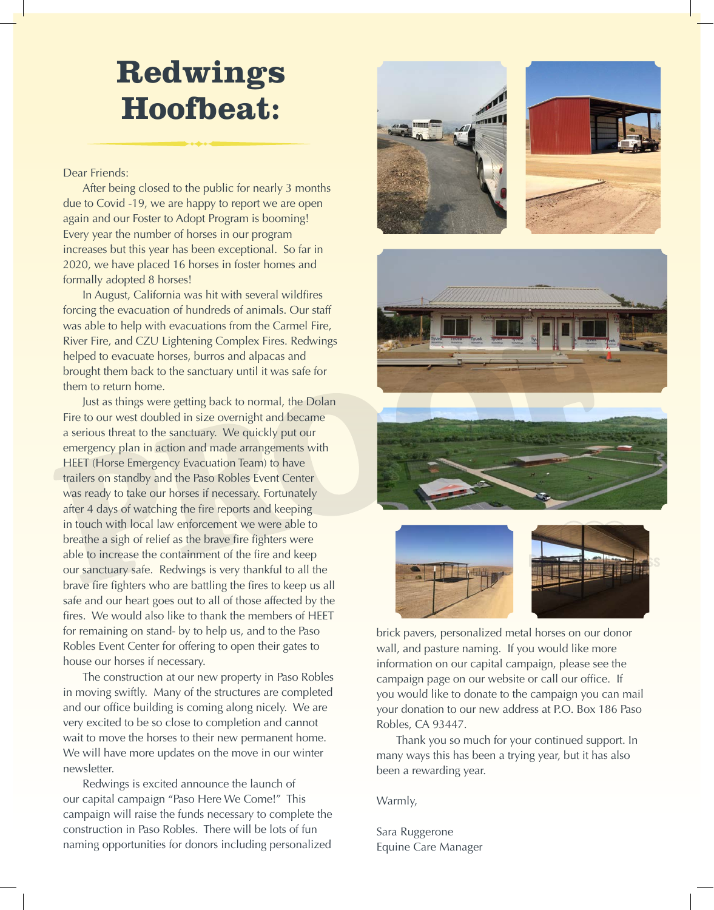# **Redwings Hoofbeat:**

Dear Friends:

After being closed to the public for nearly 3 months due to Covid -19, we are happy to report we are open again and our Foster to Adopt Program is booming! Every year the number of horses in our program increases but this year has been exceptional. So far in 2020, we have placed 16 horses in foster homes and formally adopted 8 horses!

In August, California was hit with several wildfires forcing the evacuation of hundreds of animals. Our staff was able to help with evacuations from the Carmel Fire, River Fire, and CZU Lightening Complex Fires. Redwings helped to evacuate horses, burros and alpacas and brought them back to the sanctuary until it was safe for them to return home.

Just as things were getting back to normal, the Dolan Fire to our west doubled in size overnight and became a serious threat to the sanctuary. We quickly put our emergency plan in action and made arrangements with HEET (Horse Emergency Evacuation Team) to have trailers on standby and the Paso Robles Event Center was ready to take our horses if necessary. Fortunately after 4 days of watching the fire reports and keeping in touch with local law enforcement we were able to breathe a sigh of relief as the brave fire fighters were able to increase the containment of the fire and keep our sanctuary safe. Redwings is very thankful to all the brave fire fighters who are battling the fires to keep us all safe and our heart goes out to all of those affected by the fires. We would also like to thank the members of HEET for remaining on stand- by to help us, and to the Paso Robles Event Center for offering to open their gates to house our horses if necessary.

The construction at our new property in Paso Robles in moving swiftly. Many of the structures are completed and our office building is coming along nicely. We are very excited to be so close to completion and cannot wait to move the horses to their new permanent home. We will have more updates on the move in our winter newsletter.

Redwings is excited announce the launch of our capital campaign "Paso Here We Come!" This campaign will raise the funds necessary to complete the construction in Paso Robles. There will be lots of fun naming opportunities for donors including personalized











brick pavers, personalized metal horses on our donor wall, and pasture naming. If you would like more information on our capital campaign, please see the campaign page on our website or call our office. If you would like to donate to the campaign you can mail your donation to our new address at P.O. Box 186 Paso Robles, CA 93447.

Thank you so much for your continued support. In many ways this has been a trying year, but it has also been a rewarding year.

Warmly,

Sara Ruggerone Equine Care Manager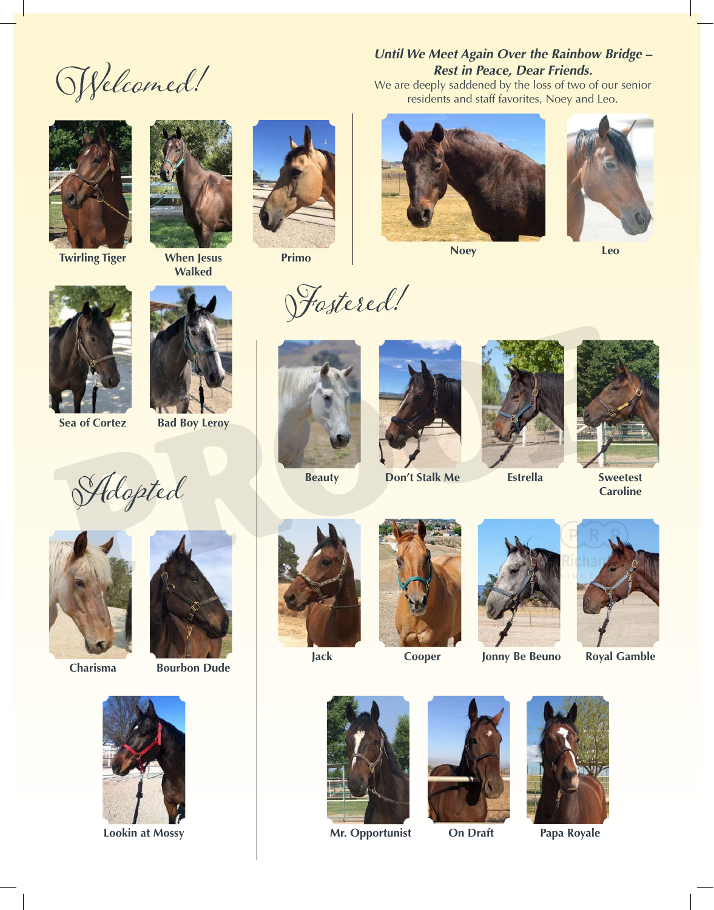Welcomed!



**Twirling Tiger When Jesus** 



**Walked**



Fostered!







**Sweetest Caroline**



Adopted

**Sea of Cortez Bad Boy Leroy**



**Charisma Bourbon Dude**



**Lookin at Mossy**





**Jack Cooper**



**Jonny Be Beuno Royal Gamble**





**Mr. Opportunist On Draft Papa Royale**





## *Until We Meet Again Over the Rainbow Bridge – Rest in Peace, Dear Friends.*

We are deeply saddened by the loss of two of our senior residents and staff favorites, Noey and Leo.







**Beauty Don't Stalk Me Estrella**